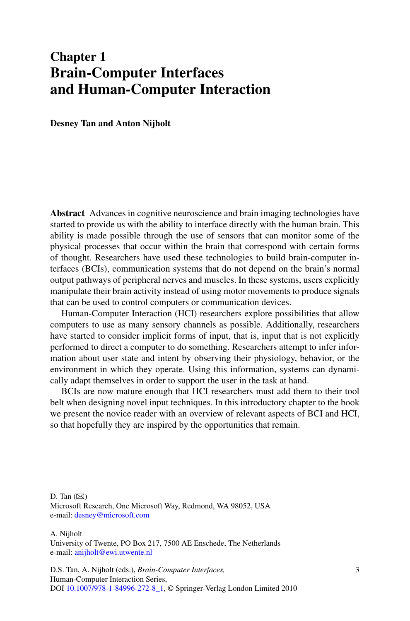# **Chapter 1 Brain-Computer Interfaces and Human-Computer Interaction**

**Desney Tan and Anton Nijholt**

**Abstract** Advances in cognitive neuroscience and brain imaging technologies have started to provide us with the ability to interface directly with the human brain. This ability is made possible through the use of sensors that can monitor some of the physical processes that occur within the brain that correspond with certain forms of thought. Researchers have used these technologies to build brain-computer interfaces (BCIs), communication systems that do not depend on the brain's normal output pathways of peripheral nerves and muscles. In these systems, users explicitly manipulate their brain activity instead of using motor movements to produce signals that can be used to control computers or communication devices.

Human-Computer Interaction (HCI) researchers explore possibilities that allow computers to use as many sensory channels as possible. Additionally, researchers have started to consider implicit forms of input, that is, input that is not explicitly performed to direct a computer to do something. Researchers attempt to infer information about user state and intent by observing their physiology, behavior, or the environment in which they operate. Using this information, systems can dynamically adapt themselves in order to support the user in the task at hand.

BCIs are now mature enough that HCI researchers must add them to their tool belt when designing novel input techniques. In this introductory chapter to the book we present the novice reader with an overview of relevant aspects of BCI and HCI, so that hopefully they are inspired by the opportunities that remain.

D. Tan  $(\boxtimes)$ 

A. Nijholt

Microsoft Research, One Microsoft Way, Redmond, WA 98052, USA e-mail: [desney@microsoft.com](mailto:desney@microsoft.com)

University of Twente, PO Box 217, 7500 AE Enschede, The Netherlands e-mail: [anijholt@ewi.utwente.nl](mailto:anijholt@ewi.utwente.nl)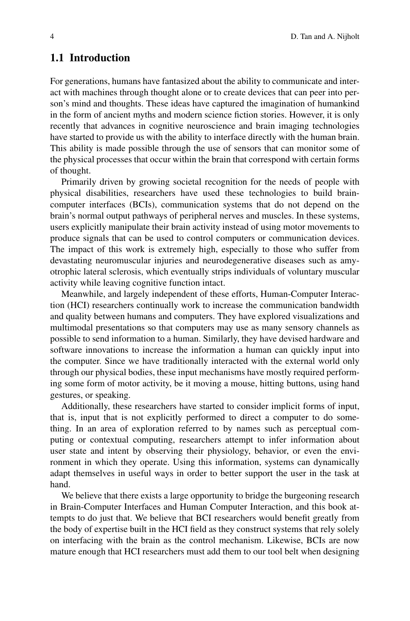# **1.1 Introduction**

For generations, humans have fantasized about the ability to communicate and interact with machines through thought alone or to create devices that can peer into person's mind and thoughts. These ideas have captured the imagination of humankind in the form of ancient myths and modern science fiction stories. However, it is only recently that advances in cognitive neuroscience and brain imaging technologies have started to provide us with the ability to interface directly with the human brain. This ability is made possible through the use of sensors that can monitor some of the physical processes that occur within the brain that correspond with certain forms of thought.

Primarily driven by growing societal recognition for the needs of people with physical disabilities, researchers have used these technologies to build braincomputer interfaces (BCIs), communication systems that do not depend on the brain's normal output pathways of peripheral nerves and muscles. In these systems, users explicitly manipulate their brain activity instead of using motor movements to produce signals that can be used to control computers or communication devices. The impact of this work is extremely high, especially to those who suffer from devastating neuromuscular injuries and neurodegenerative diseases such as amyotrophic lateral sclerosis, which eventually strips individuals of voluntary muscular activity while leaving cognitive function intact.

Meanwhile, and largely independent of these efforts, Human-Computer Interaction (HCI) researchers continually work to increase the communication bandwidth and quality between humans and computers. They have explored visualizations and multimodal presentations so that computers may use as many sensory channels as possible to send information to a human. Similarly, they have devised hardware and software innovations to increase the information a human can quickly input into the computer. Since we have traditionally interacted with the external world only through our physical bodies, these input mechanisms have mostly required performing some form of motor activity, be it moving a mouse, hitting buttons, using hand gestures, or speaking.

Additionally, these researchers have started to consider implicit forms of input, that is, input that is not explicitly performed to direct a computer to do something. In an area of exploration referred to by names such as perceptual computing or contextual computing, researchers attempt to infer information about user state and intent by observing their physiology, behavior, or even the environment in which they operate. Using this information, systems can dynamically adapt themselves in useful ways in order to better support the user in the task at hand.

We believe that there exists a large opportunity to bridge the burgeoning research in Brain-Computer Interfaces and Human Computer Interaction, and this book attempts to do just that. We believe that BCI researchers would benefit greatly from the body of expertise built in the HCI field as they construct systems that rely solely on interfacing with the brain as the control mechanism. Likewise, BCIs are now mature enough that HCI researchers must add them to our tool belt when designing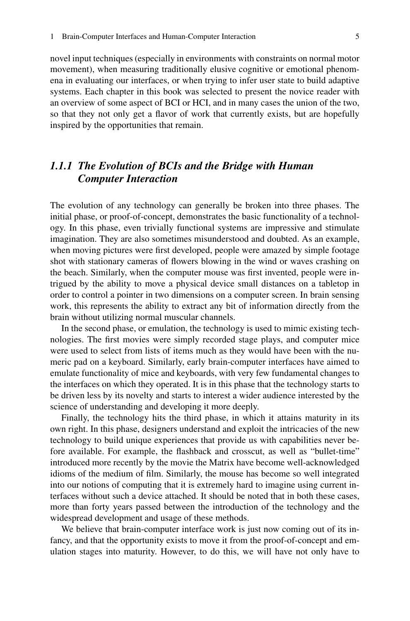novel input techniques (especially in environments with constraints on normal motor movement), when measuring traditionally elusive cognitive or emotional phenomena in evaluating our interfaces, or when trying to infer user state to build adaptive systems. Each chapter in this book was selected to present the novice reader with an overview of some aspect of BCI or HCI, and in many cases the union of the two, so that they not only get a flavor of work that currently exists, but are hopefully inspired by the opportunities that remain.

# *1.1.1 The Evolution of BCIs and the Bridge with Human Computer Interaction*

The evolution of any technology can generally be broken into three phases. The initial phase, or proof-of-concept, demonstrates the basic functionality of a technology. In this phase, even trivially functional systems are impressive and stimulate imagination. They are also sometimes misunderstood and doubted. As an example, when moving pictures were first developed, people were amazed by simple footage shot with stationary cameras of flowers blowing in the wind or waves crashing on the beach. Similarly, when the computer mouse was first invented, people were intrigued by the ability to move a physical device small distances on a tabletop in order to control a pointer in two dimensions on a computer screen. In brain sensing work, this represents the ability to extract any bit of information directly from the brain without utilizing normal muscular channels.

In the second phase, or emulation, the technology is used to mimic existing technologies. The first movies were simply recorded stage plays, and computer mice were used to select from lists of items much as they would have been with the numeric pad on a keyboard. Similarly, early brain-computer interfaces have aimed to emulate functionality of mice and keyboards, with very few fundamental changes to the interfaces on which they operated. It is in this phase that the technology starts to be driven less by its novelty and starts to interest a wider audience interested by the science of understanding and developing it more deeply.

Finally, the technology hits the third phase, in which it attains maturity in its own right. In this phase, designers understand and exploit the intricacies of the new technology to build unique experiences that provide us with capabilities never before available. For example, the flashback and crosscut, as well as "bullet-time" introduced more recently by the movie the Matrix have become well-acknowledged idioms of the medium of film. Similarly, the mouse has become so well integrated into our notions of computing that it is extremely hard to imagine using current interfaces without such a device attached. It should be noted that in both these cases, more than forty years passed between the introduction of the technology and the widespread development and usage of these methods.

We believe that brain-computer interface work is just now coming out of its infancy, and that the opportunity exists to move it from the proof-of-concept and emulation stages into maturity. However, to do this, we will have not only have to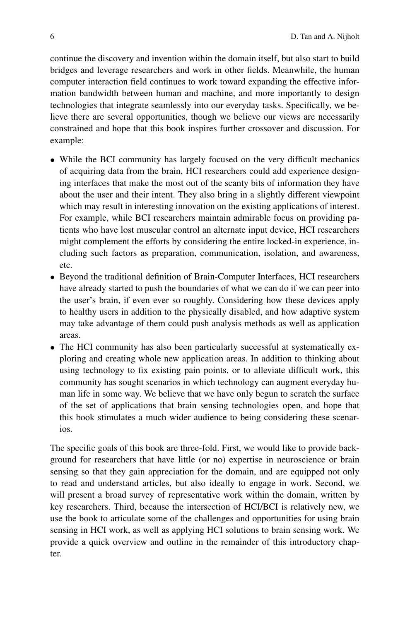continue the discovery and invention within the domain itself, but also start to build bridges and leverage researchers and work in other fields. Meanwhile, the human computer interaction field continues to work toward expanding the effective information bandwidth between human and machine, and more importantly to design technologies that integrate seamlessly into our everyday tasks. Specifically, we believe there are several opportunities, though we believe our views are necessarily constrained and hope that this book inspires further crossover and discussion. For example:

- While the BCI community has largely focused on the very difficult mechanics of acquiring data from the brain, HCI researchers could add experience designing interfaces that make the most out of the scanty bits of information they have about the user and their intent. They also bring in a slightly different viewpoint which may result in interesting innovation on the existing applications of interest. For example, while BCI researchers maintain admirable focus on providing patients who have lost muscular control an alternate input device, HCI researchers might complement the efforts by considering the entire locked-in experience, including such factors as preparation, communication, isolation, and awareness, etc.
- Beyond the traditional definition of Brain-Computer Interfaces, HCI researchers have already started to push the boundaries of what we can do if we can peer into the user's brain, if even ever so roughly. Considering how these devices apply to healthy users in addition to the physically disabled, and how adaptive system may take advantage of them could push analysis methods as well as application areas.
- The HCI community has also been particularly successful at systematically exploring and creating whole new application areas. In addition to thinking about using technology to fix existing pain points, or to alleviate difficult work, this community has sought scenarios in which technology can augment everyday human life in some way. We believe that we have only begun to scratch the surface of the set of applications that brain sensing technologies open, and hope that this book stimulates a much wider audience to being considering these scenarios.

The specific goals of this book are three-fold. First, we would like to provide background for researchers that have little (or no) expertise in neuroscience or brain sensing so that they gain appreciation for the domain, and are equipped not only to read and understand articles, but also ideally to engage in work. Second, we will present a broad survey of representative work within the domain, written by key researchers. Third, because the intersection of HCI/BCI is relatively new, we use the book to articulate some of the challenges and opportunities for using brain sensing in HCI work, as well as applying HCI solutions to brain sensing work. We provide a quick overview and outline in the remainder of this introductory chapter.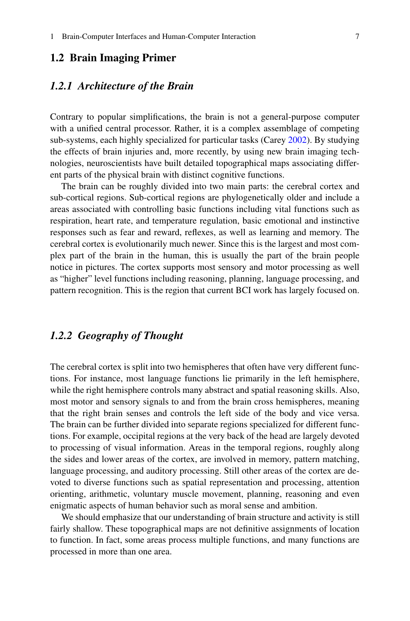### **1.2 Brain Imaging Primer**

#### *1.2.1 Architecture of the Brain*

Contrary to popular simplifications, the brain is not a general-purpose computer with a unified central processor. Rather, it is a complex assemblage of competing sub-systems, each highly specialized for particular tasks (Carey [2002\)](#page-16-0). By studying the effects of brain injuries and, more recently, by using new brain imaging technologies, neuroscientists have built detailed topographical maps associating different parts of the physical brain with distinct cognitive functions.

The brain can be roughly divided into two main parts: the cerebral cortex and sub-cortical regions. Sub-cortical regions are phylogenetically older and include a areas associated with controlling basic functions including vital functions such as respiration, heart rate, and temperature regulation, basic emotional and instinctive responses such as fear and reward, reflexes, as well as learning and memory. The cerebral cortex is evolutionarily much newer. Since this is the largest and most complex part of the brain in the human, this is usually the part of the brain people notice in pictures. The cortex supports most sensory and motor processing as well as "higher" level functions including reasoning, planning, language processing, and pattern recognition. This is the region that current BCI work has largely focused on.

# *1.2.2 Geography of Thought*

The cerebral cortex is split into two hemispheres that often have very different functions. For instance, most language functions lie primarily in the left hemisphere, while the right hemisphere controls many abstract and spatial reasoning skills. Also, most motor and sensory signals to and from the brain cross hemispheres, meaning that the right brain senses and controls the left side of the body and vice versa. The brain can be further divided into separate regions specialized for different functions. For example, occipital regions at the very back of the head are largely devoted to processing of visual information. Areas in the temporal regions, roughly along the sides and lower areas of the cortex, are involved in memory, pattern matching, language processing, and auditory processing. Still other areas of the cortex are devoted to diverse functions such as spatial representation and processing, attention orienting, arithmetic, voluntary muscle movement, planning, reasoning and even enigmatic aspects of human behavior such as moral sense and ambition.

We should emphasize that our understanding of brain structure and activity is still fairly shallow. These topographical maps are not definitive assignments of location to function. In fact, some areas process multiple functions, and many functions are processed in more than one area.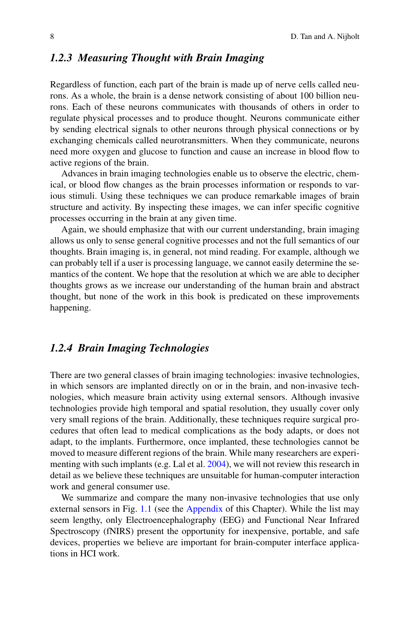# *1.2.3 Measuring Thought with Brain Imaging*

Regardless of function, each part of the brain is made up of nerve cells called neurons. As a whole, the brain is a dense network consisting of about 100 billion neurons. Each of these neurons communicates with thousands of others in order to regulate physical processes and to produce thought. Neurons communicate either by sending electrical signals to other neurons through physical connections or by exchanging chemicals called neurotransmitters. When they communicate, neurons need more oxygen and glucose to function and cause an increase in blood flow to active regions of the brain.

Advances in brain imaging technologies enable us to observe the electric, chemical, or blood flow changes as the brain processes information or responds to various stimuli. Using these techniques we can produce remarkable images of brain structure and activity. By inspecting these images, we can infer specific cognitive processes occurring in the brain at any given time.

Again, we should emphasize that with our current understanding, brain imaging allows us only to sense general cognitive processes and not the full semantics of our thoughts. Brain imaging is, in general, not mind reading. For example, although we can probably tell if a user is processing language, we cannot easily determine the semantics of the content. We hope that the resolution at which we are able to decipher thoughts grows as we increase our understanding of the human brain and abstract thought, but none of the work in this book is predicated on these improvements happening.

#### *1.2.4 Brain Imaging Technologies*

There are two general classes of brain imaging technologies: invasive technologies, in which sensors are implanted directly on or in the brain, and non-invasive technologies, which measure brain activity using external sensors. Although invasive technologies provide high temporal and spatial resolution, they usually cover only very small regions of the brain. Additionally, these techniques require surgical procedures that often lead to medical complications as the body adapts, or does not adapt, to the implants. Furthermore, once implanted, these technologies cannot be moved to measure different regions of the brain. While many researchers are experimenting with such implants (e.g. Lal et al. [2004](#page-16-0)), we will not review this research in detail as we believe these techniques are unsuitable for human-computer interaction work and general consumer use.

We summarize and compare the many non-invasive technologies that use only external sensors in Fig. [1.1](#page-15-0) (see the [Appendix](#page-15-0) of this Chapter). While the list may seem lengthy, only Electroencephalography (EEG) and Functional Near Infrared Spectroscopy (fNIRS) present the opportunity for inexpensive, portable, and safe devices, properties we believe are important for brain-computer interface applications in HCI work.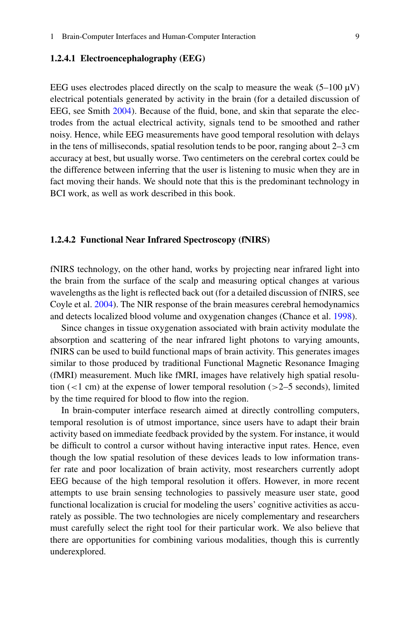#### **1.2.4.1 Electroencephalography (EEG)**

EEG uses electrodes placed directly on the scalp to measure the weak  $(5-100 \mu V)$ electrical potentials generated by activity in the brain (for a detailed discussion of EEG, see Smith [2004\)](#page-16-0). Because of the fluid, bone, and skin that separate the electrodes from the actual electrical activity, signals tend to be smoothed and rather noisy. Hence, while EEG measurements have good temporal resolution with delays in the tens of milliseconds, spatial resolution tends to be poor, ranging about 2–3 cm accuracy at best, but usually worse. Two centimeters on the cerebral cortex could be the difference between inferring that the user is listening to music when they are in fact moving their hands. We should note that this is the predominant technology in BCI work, as well as work described in this book.

#### **1.2.4.2 Functional Near Infrared Spectroscopy (fNIRS)**

fNIRS technology, on the other hand, works by projecting near infrared light into the brain from the surface of the scalp and measuring optical changes at various wavelengths as the light is reflected back out (for a detailed discussion of fNIRS, see Coyle et al. [2004](#page-16-0)). The NIR response of the brain measures cerebral hemodynamics and detects localized blood volume and oxygenation changes (Chance et al. [1998](#page-16-0)).

Since changes in tissue oxygenation associated with brain activity modulate the absorption and scattering of the near infrared light photons to varying amounts, fNIRS can be used to build functional maps of brain activity. This generates images similar to those produced by traditional Functional Magnetic Resonance Imaging (fMRI) measurement. Much like fMRI, images have relatively high spatial resolution (*<*1 cm) at the expense of lower temporal resolution (*>*2–5 seconds), limited by the time required for blood to flow into the region.

In brain-computer interface research aimed at directly controlling computers, temporal resolution is of utmost importance, since users have to adapt their brain activity based on immediate feedback provided by the system. For instance, it would be difficult to control a cursor without having interactive input rates. Hence, even though the low spatial resolution of these devices leads to low information transfer rate and poor localization of brain activity, most researchers currently adopt EEG because of the high temporal resolution it offers. However, in more recent attempts to use brain sensing technologies to passively measure user state, good functional localization is crucial for modeling the users' cognitive activities as accurately as possible. The two technologies are nicely complementary and researchers must carefully select the right tool for their particular work. We also believe that there are opportunities for combining various modalities, though this is currently underexplored.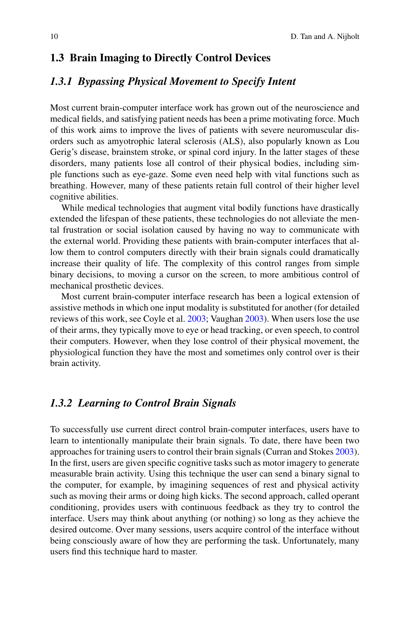# **1.3 Brain Imaging to Directly Control Devices**

# *1.3.1 Bypassing Physical Movement to Specify Intent*

Most current brain-computer interface work has grown out of the neuroscience and medical fields, and satisfying patient needs has been a prime motivating force. Much of this work aims to improve the lives of patients with severe neuromuscular disorders such as amyotrophic lateral sclerosis (ALS), also popularly known as Lou Gerig's disease, brainstem stroke, or spinal cord injury. In the latter stages of these disorders, many patients lose all control of their physical bodies, including simple functions such as eye-gaze. Some even need help with vital functions such as breathing. However, many of these patients retain full control of their higher level cognitive abilities.

While medical technologies that augment vital bodily functions have drastically extended the lifespan of these patients, these technologies do not alleviate the mental frustration or social isolation caused by having no way to communicate with the external world. Providing these patients with brain-computer interfaces that allow them to control computers directly with their brain signals could dramatically increase their quality of life. The complexity of this control ranges from simple binary decisions, to moving a cursor on the screen, to more ambitious control of mechanical prosthetic devices.

Most current brain-computer interface research has been a logical extension of assistive methods in which one input modality is substituted for another (for detailed reviews of this work, see Coyle et al. [2003;](#page-16-0) Vaughan [2003\)](#page-16-0). When users lose the use of their arms, they typically move to eye or head tracking, or even speech, to control their computers. However, when they lose control of their physical movement, the physiological function they have the most and sometimes only control over is their brain activity.

#### *1.3.2 Learning to Control Brain Signals*

To successfully use current direct control brain-computer interfaces, users have to learn to intentionally manipulate their brain signals. To date, there have been two approaches for training users to control their brain signals (Curran and Stokes [2003\)](#page-16-0). In the first, users are given specific cognitive tasks such as motor imagery to generate measurable brain activity. Using this technique the user can send a binary signal to the computer, for example, by imagining sequences of rest and physical activity such as moving their arms or doing high kicks. The second approach, called operant conditioning, provides users with continuous feedback as they try to control the interface. Users may think about anything (or nothing) so long as they achieve the desired outcome. Over many sessions, users acquire control of the interface without being consciously aware of how they are performing the task. Unfortunately, many users find this technique hard to master.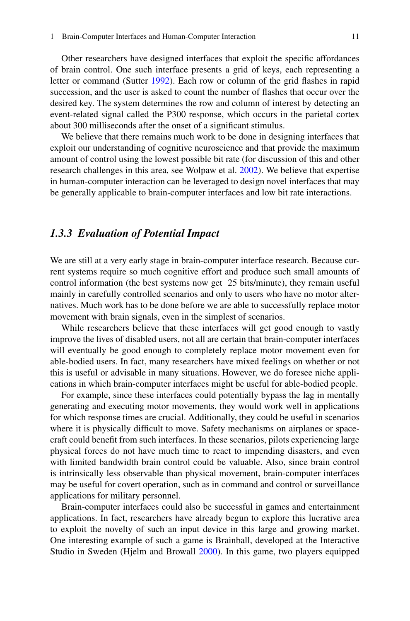Other researchers have designed interfaces that exploit the specific affordances of brain control. One such interface presents a grid of keys, each representing a letter or command (Sutter [1992\)](#page-16-0). Each row or column of the grid flashes in rapid succession, and the user is asked to count the number of flashes that occur over the desired key. The system determines the row and column of interest by detecting an event-related signal called the P300 response, which occurs in the parietal cortex about 300 milliseconds after the onset of a significant stimulus.

We believe that there remains much work to be done in designing interfaces that exploit our understanding of cognitive neuroscience and that provide the maximum amount of control using the lowest possible bit rate (for discussion of this and other research challenges in this area, see Wolpaw et al. [2002\)](#page-16-0). We believe that expertise in human-computer interaction can be leveraged to design novel interfaces that may be generally applicable to brain-computer interfaces and low bit rate interactions.

# *1.3.3 Evaluation of Potential Impact*

We are still at a very early stage in brain-computer interface research. Because current systems require so much cognitive effort and produce such small amounts of control information (the best systems now get 25 bits/minute), they remain useful mainly in carefully controlled scenarios and only to users who have no motor alternatives. Much work has to be done before we are able to successfully replace motor movement with brain signals, even in the simplest of scenarios.

While researchers believe that these interfaces will get good enough to vastly improve the lives of disabled users, not all are certain that brain-computer interfaces will eventually be good enough to completely replace motor movement even for able-bodied users. In fact, many researchers have mixed feelings on whether or not this is useful or advisable in many situations. However, we do foresee niche applications in which brain-computer interfaces might be useful for able-bodied people.

For example, since these interfaces could potentially bypass the lag in mentally generating and executing motor movements, they would work well in applications for which response times are crucial. Additionally, they could be useful in scenarios where it is physically difficult to move. Safety mechanisms on airplanes or spacecraft could benefit from such interfaces. In these scenarios, pilots experiencing large physical forces do not have much time to react to impending disasters, and even with limited bandwidth brain control could be valuable. Also, since brain control is intrinsically less observable than physical movement, brain-computer interfaces may be useful for covert operation, such as in command and control or surveillance applications for military personnel.

Brain-computer interfaces could also be successful in games and entertainment applications. In fact, researchers have already begun to explore this lucrative area to exploit the novelty of such an input device in this large and growing market. One interesting example of such a game is Brainball, developed at the Interactive Studio in Sweden (Hjelm and Browall [2000](#page-16-0)). In this game, two players equipped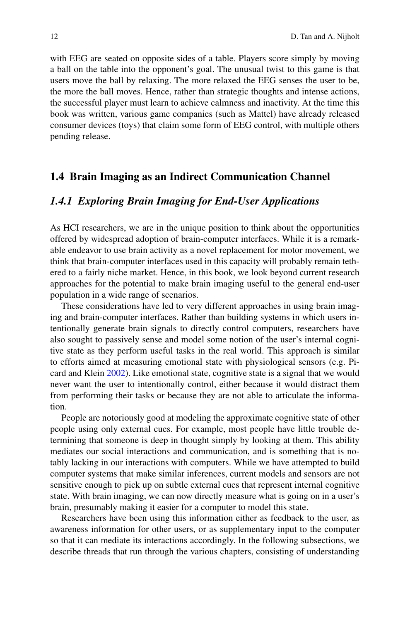with EEG are seated on opposite sides of a table. Players score simply by moving a ball on the table into the opponent's goal. The unusual twist to this game is that users move the ball by relaxing. The more relaxed the EEG senses the user to be, the more the ball moves. Hence, rather than strategic thoughts and intense actions, the successful player must learn to achieve calmness and inactivity. At the time this book was written, various game companies (such as Mattel) have already released consumer devices (toys) that claim some form of EEG control, with multiple others pending release.

# **1.4 Brain Imaging as an Indirect Communication Channel**

#### *1.4.1 Exploring Brain Imaging for End-User Applications*

As HCI researchers, we are in the unique position to think about the opportunities offered by widespread adoption of brain-computer interfaces. While it is a remarkable endeavor to use brain activity as a novel replacement for motor movement, we think that brain-computer interfaces used in this capacity will probably remain tethered to a fairly niche market. Hence, in this book, we look beyond current research approaches for the potential to make brain imaging useful to the general end-user population in a wide range of scenarios.

These considerations have led to very different approaches in using brain imaging and brain-computer interfaces. Rather than building systems in which users intentionally generate brain signals to directly control computers, researchers have also sought to passively sense and model some notion of the user's internal cognitive state as they perform useful tasks in the real world. This approach is similar to efforts aimed at measuring emotional state with physiological sensors (e.g. Picard and Klein [2002](#page-16-0)). Like emotional state, cognitive state is a signal that we would never want the user to intentionally control, either because it would distract them from performing their tasks or because they are not able to articulate the information.

People are notoriously good at modeling the approximate cognitive state of other people using only external cues. For example, most people have little trouble determining that someone is deep in thought simply by looking at them. This ability mediates our social interactions and communication, and is something that is notably lacking in our interactions with computers. While we have attempted to build computer systems that make similar inferences, current models and sensors are not sensitive enough to pick up on subtle external cues that represent internal cognitive state. With brain imaging, we can now directly measure what is going on in a user's brain, presumably making it easier for a computer to model this state.

Researchers have been using this information either as feedback to the user, as awareness information for other users, or as supplementary input to the computer so that it can mediate its interactions accordingly. In the following subsections, we describe threads that run through the various chapters, consisting of understanding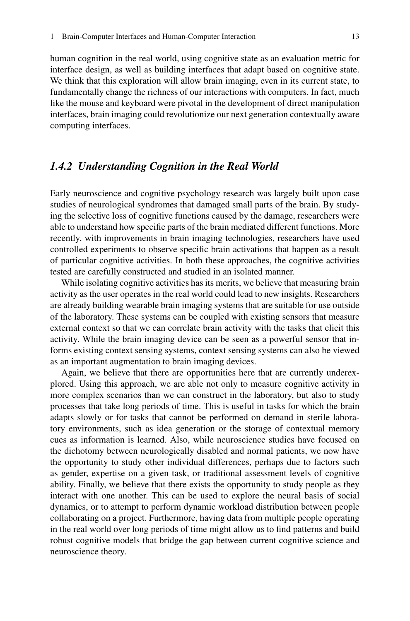human cognition in the real world, using cognitive state as an evaluation metric for interface design, as well as building interfaces that adapt based on cognitive state. We think that this exploration will allow brain imaging, even in its current state, to fundamentally change the richness of our interactions with computers. In fact, much like the mouse and keyboard were pivotal in the development of direct manipulation interfaces, brain imaging could revolutionize our next generation contextually aware computing interfaces.

# *1.4.2 Understanding Cognition in the Real World*

Early neuroscience and cognitive psychology research was largely built upon case studies of neurological syndromes that damaged small parts of the brain. By studying the selective loss of cognitive functions caused by the damage, researchers were able to understand how specific parts of the brain mediated different functions. More recently, with improvements in brain imaging technologies, researchers have used controlled experiments to observe specific brain activations that happen as a result of particular cognitive activities. In both these approaches, the cognitive activities tested are carefully constructed and studied in an isolated manner.

While isolating cognitive activities has its merits, we believe that measuring brain activity as the user operates in the real world could lead to new insights. Researchers are already building wearable brain imaging systems that are suitable for use outside of the laboratory. These systems can be coupled with existing sensors that measure external context so that we can correlate brain activity with the tasks that elicit this activity. While the brain imaging device can be seen as a powerful sensor that informs existing context sensing systems, context sensing systems can also be viewed as an important augmentation to brain imaging devices.

Again, we believe that there are opportunities here that are currently underexplored. Using this approach, we are able not only to measure cognitive activity in more complex scenarios than we can construct in the laboratory, but also to study processes that take long periods of time. This is useful in tasks for which the brain adapts slowly or for tasks that cannot be performed on demand in sterile laboratory environments, such as idea generation or the storage of contextual memory cues as information is learned. Also, while neuroscience studies have focused on the dichotomy between neurologically disabled and normal patients, we now have the opportunity to study other individual differences, perhaps due to factors such as gender, expertise on a given task, or traditional assessment levels of cognitive ability. Finally, we believe that there exists the opportunity to study people as they interact with one another. This can be used to explore the neural basis of social dynamics, or to attempt to perform dynamic workload distribution between people collaborating on a project. Furthermore, having data from multiple people operating in the real world over long periods of time might allow us to find patterns and build robust cognitive models that bridge the gap between current cognitive science and neuroscience theory.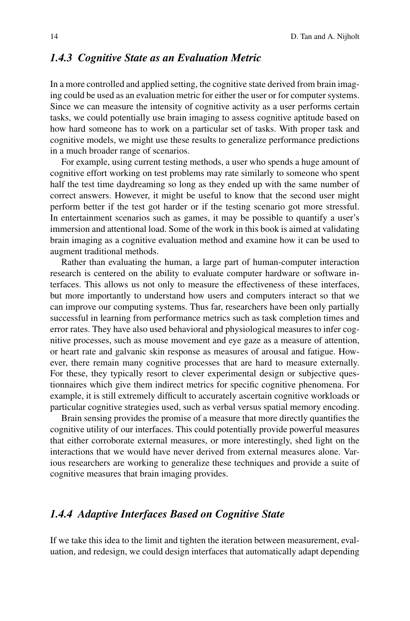#### *1.4.3 Cognitive State as an Evaluation Metric*

In a more controlled and applied setting, the cognitive state derived from brain imaging could be used as an evaluation metric for either the user or for computer systems. Since we can measure the intensity of cognitive activity as a user performs certain tasks, we could potentially use brain imaging to assess cognitive aptitude based on how hard someone has to work on a particular set of tasks. With proper task and cognitive models, we might use these results to generalize performance predictions in a much broader range of scenarios.

For example, using current testing methods, a user who spends a huge amount of cognitive effort working on test problems may rate similarly to someone who spent half the test time daydreaming so long as they ended up with the same number of correct answers. However, it might be useful to know that the second user might perform better if the test got harder or if the testing scenario got more stressful. In entertainment scenarios such as games, it may be possible to quantify a user's immersion and attentional load. Some of the work in this book is aimed at validating brain imaging as a cognitive evaluation method and examine how it can be used to augment traditional methods.

Rather than evaluating the human, a large part of human-computer interaction research is centered on the ability to evaluate computer hardware or software interfaces. This allows us not only to measure the effectiveness of these interfaces, but more importantly to understand how users and computers interact so that we can improve our computing systems. Thus far, researchers have been only partially successful in learning from performance metrics such as task completion times and error rates. They have also used behavioral and physiological measures to infer cognitive processes, such as mouse movement and eye gaze as a measure of attention, or heart rate and galvanic skin response as measures of arousal and fatigue. However, there remain many cognitive processes that are hard to measure externally. For these, they typically resort to clever experimental design or subjective questionnaires which give them indirect metrics for specific cognitive phenomena. For example, it is still extremely difficult to accurately ascertain cognitive workloads or particular cognitive strategies used, such as verbal versus spatial memory encoding.

Brain sensing provides the promise of a measure that more directly quantifies the cognitive utility of our interfaces. This could potentially provide powerful measures that either corroborate external measures, or more interestingly, shed light on the interactions that we would have never derived from external measures alone. Various researchers are working to generalize these techniques and provide a suite of cognitive measures that brain imaging provides.

#### *1.4.4 Adaptive Interfaces Based on Cognitive State*

If we take this idea to the limit and tighten the iteration between measurement, evaluation, and redesign, we could design interfaces that automatically adapt depending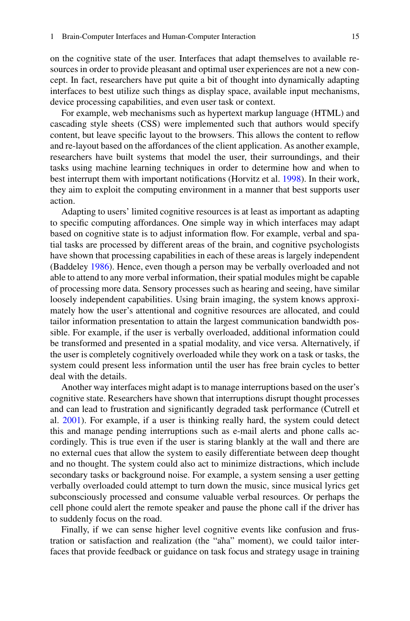on the cognitive state of the user. Interfaces that adapt themselves to available resources in order to provide pleasant and optimal user experiences are not a new concept. In fact, researchers have put quite a bit of thought into dynamically adapting interfaces to best utilize such things as display space, available input mechanisms, device processing capabilities, and even user task or context.

For example, web mechanisms such as hypertext markup language (HTML) and cascading style sheets (CSS) were implemented such that authors would specify content, but leave specific layout to the browsers. This allows the content to reflow and re-layout based on the affordances of the client application. As another example, researchers have built systems that model the user, their surroundings, and their tasks using machine learning techniques in order to determine how and when to best interrupt them with important notifications (Horvitz et al. [1998\)](#page-16-0). In their work, they aim to exploit the computing environment in a manner that best supports user action.

Adapting to users' limited cognitive resources is at least as important as adapting to specific computing affordances. One simple way in which interfaces may adapt based on cognitive state is to adjust information flow. For example, verbal and spatial tasks are processed by different areas of the brain, and cognitive psychologists have shown that processing capabilities in each of these areas is largely independent (Baddeley [1986](#page-16-0)). Hence, even though a person may be verbally overloaded and not able to attend to any more verbal information, their spatial modules might be capable of processing more data. Sensory processes such as hearing and seeing, have similar loosely independent capabilities. Using brain imaging, the system knows approximately how the user's attentional and cognitive resources are allocated, and could tailor information presentation to attain the largest communication bandwidth possible. For example, if the user is verbally overloaded, additional information could be transformed and presented in a spatial modality, and vice versa. Alternatively, if the user is completely cognitively overloaded while they work on a task or tasks, the system could present less information until the user has free brain cycles to better deal with the details.

Another way interfaces might adapt is to manage interruptions based on the user's cognitive state. Researchers have shown that interruptions disrupt thought processes and can lead to frustration and significantly degraded task performance (Cutrell et al. [2001](#page-16-0)). For example, if a user is thinking really hard, the system could detect this and manage pending interruptions such as e-mail alerts and phone calls accordingly. This is true even if the user is staring blankly at the wall and there are no external cues that allow the system to easily differentiate between deep thought and no thought. The system could also act to minimize distractions, which include secondary tasks or background noise. For example, a system sensing a user getting verbally overloaded could attempt to turn down the music, since musical lyrics get subconsciously processed and consume valuable verbal resources. Or perhaps the cell phone could alert the remote speaker and pause the phone call if the driver has to suddenly focus on the road.

Finally, if we can sense higher level cognitive events like confusion and frustration or satisfaction and realization (the "aha" moment), we could tailor interfaces that provide feedback or guidance on task focus and strategy usage in training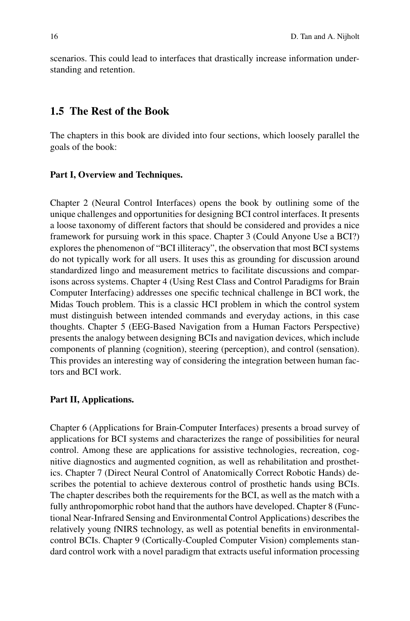scenarios. This could lead to interfaces that drastically increase information understanding and retention.

#### **1.5 The Rest of the Book**

The chapters in this book are divided into four sections, which loosely parallel the goals of the book:

#### **Part I, Overview and Techniques.**

Chapter 2 (Neural Control Interfaces) opens the book by outlining some of the unique challenges and opportunities for designing BCI control interfaces. It presents a loose taxonomy of different factors that should be considered and provides a nice framework for pursuing work in this space. Chapter 3 (Could Anyone Use a BCI?) explores the phenomenon of "BCI illiteracy", the observation that most BCI systems do not typically work for all users. It uses this as grounding for discussion around standardized lingo and measurement metrics to facilitate discussions and comparisons across systems. Chapter 4 (Using Rest Class and Control Paradigms for Brain Computer Interfacing) addresses one specific technical challenge in BCI work, the Midas Touch problem. This is a classic HCI problem in which the control system must distinguish between intended commands and everyday actions, in this case thoughts. Chapter 5 (EEG-Based Navigation from a Human Factors Perspective) presents the analogy between designing BCIs and navigation devices, which include components of planning (cognition), steering (perception), and control (sensation). This provides an interesting way of considering the integration between human factors and BCI work.

#### **Part II, Applications.**

Chapter 6 (Applications for Brain-Computer Interfaces) presents a broad survey of applications for BCI systems and characterizes the range of possibilities for neural control. Among these are applications for assistive technologies, recreation, cognitive diagnostics and augmented cognition, as well as rehabilitation and prosthetics. Chapter 7 (Direct Neural Control of Anatomically Correct Robotic Hands) describes the potential to achieve dexterous control of prosthetic hands using BCIs. The chapter describes both the requirements for the BCI, as well as the match with a fully anthropomorphic robot hand that the authors have developed. Chapter 8 (Functional Near-Infrared Sensing and Environmental Control Applications) describes the relatively young fNIRS technology, as well as potential benefits in environmentalcontrol BCIs. Chapter 9 (Cortically-Coupled Computer Vision) complements standard control work with a novel paradigm that extracts useful information processing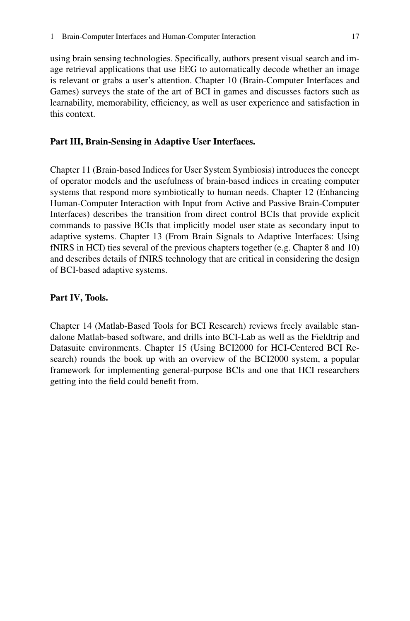using brain sensing technologies. Specifically, authors present visual search and image retrieval applications that use EEG to automatically decode whether an image is relevant or grabs a user's attention. Chapter 10 (Brain-Computer Interfaces and Games) surveys the state of the art of BCI in games and discusses factors such as learnability, memorability, efficiency, as well as user experience and satisfaction in this context.

#### **Part III, Brain-Sensing in Adaptive User Interfaces.**

Chapter 11 (Brain-based Indices for User System Symbiosis) introduces the concept of operator models and the usefulness of brain-based indices in creating computer systems that respond more symbiotically to human needs. Chapter 12 (Enhancing Human-Computer Interaction with Input from Active and Passive Brain-Computer Interfaces) describes the transition from direct control BCIs that provide explicit commands to passive BCIs that implicitly model user state as secondary input to adaptive systems. Chapter 13 (From Brain Signals to Adaptive Interfaces: Using fNIRS in HCI) ties several of the previous chapters together (e.g. Chapter 8 and 10) and describes details of fNIRS technology that are critical in considering the design of BCI-based adaptive systems.

#### **Part IV, Tools.**

Chapter 14 (Matlab-Based Tools for BCI Research) reviews freely available standalone Matlab-based software, and drills into BCI-Lab as well as the Fieldtrip and Datasuite environments. Chapter 15 (Using BCI2000 for HCI-Centered BCI Research) rounds the book up with an overview of the BCI2000 system, a popular framework for implementing general-purpose BCIs and one that HCI researchers getting into the field could benefit from.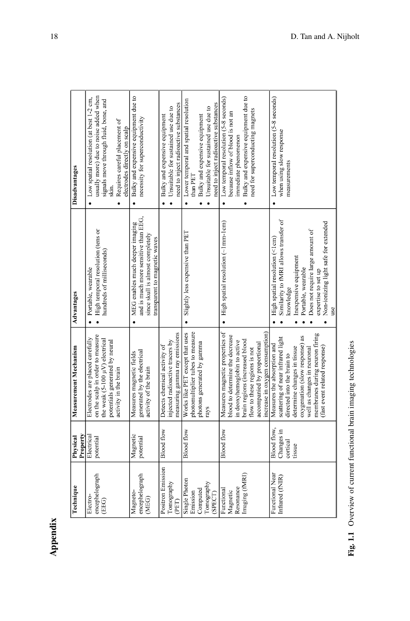<span id="page-15-0"></span>

| Technique                                                      | Property<br>Physical                            | Measurement Mechanism                                                                                                                                                                                                                                            | Advantages                                                                                                                                                                                                                                                              | Disadvantages                                                                                                                                                                                       |
|----------------------------------------------------------------|-------------------------------------------------|------------------------------------------------------------------------------------------------------------------------------------------------------------------------------------------------------------------------------------------------------------------|-------------------------------------------------------------------------------------------------------------------------------------------------------------------------------------------------------------------------------------------------------------------------|-----------------------------------------------------------------------------------------------------------------------------------------------------------------------------------------------------|
| encephelograph<br>Electro-<br>(EEG)                            | Electrical<br>potential                         | on the scalp in order to measure<br>Electrodes are placed carefully<br>the weak (5-100 µV) electrical<br>potentials generated by neural<br>activity in the brain                                                                                                 | High temporal resolution (tens or<br>hundreds of milliseconds)<br>Portable, wearable                                                                                                                                                                                    | usually more) due to noise added when<br>signals move through fluid, bone, and<br>Low spatial resolution (at best 1-2 cm,<br>Requires careful placement of<br>electrodes directly on scalp<br>skin. |
| encephelograph<br>Magneto-<br>(MEG)                            | Magnetic<br>potential                           | generated by the electrical<br>activity of the brain<br>Measures magnetic fields                                                                                                                                                                                 | and is much more sensitive than EEG,<br>MEG enables much deeper imaging<br>since skull is almost completely<br>transparent to magnetic waves<br>$\bullet$                                                                                                               | Bulky and expensive equipment due to<br>necessity for superconductivity                                                                                                                             |
| Positron Emission<br>Tomography<br>(PET)                       | <b>Blood flow</b>                               | measuring gamma ray emissions<br>injected radioactive tracers by<br>Detects chemical activity of                                                                                                                                                                 |                                                                                                                                                                                                                                                                         | need to inject radioactive substances<br>• Unsuitable for sustained use due to<br>Bulky and expensive equipment                                                                                     |
| Single Photon<br>Tomography<br>Computed<br>Emission<br>(SPECT) | <b>Blood flow</b>                               | photomultiplier tubes to measure<br>Works like PET except that uses<br>photons generated by gamma<br>rays                                                                                                                                                        | Slightly less expensive than PET                                                                                                                                                                                                                                        | Lower temporal and spatial resolution<br>need to inject radioactive substances<br>Unsuitable for sustained use due to<br>Bulky and expensive equipment<br>than PET<br>$\bullet$<br>$\bullet$        |
| Imaging (fMRI)<br>Resonance<br>Functional<br>Magnetic          | <b>Blood flow</b>                               | Measures magnetic properties of<br>increase in oxygen consumption)<br>blood to determine the decrease<br>brain regions (increased blood<br>in deoxyhemoglobin to active<br>accompanied by proportional<br>flow to these regions is not                           | · High spatial resolution (~1mm-1cm)                                                                                                                                                                                                                                    | Bulky and expensive equipment due to<br>Low temporal resolution (5-8 seconds)<br>need for superconducting magnets<br>because inflow of blood is not an<br>immediate phenomenon<br>$\bullet$         |
| Functional Near<br>Infrared (fNIR)                             | Blood flow,<br>Changes in<br>cortical<br>tissue | membranes during neuron firing<br>oxygenation (slow response) as<br>scattering of near infrared light<br>Measures the absorption and<br>well as changes in neuronal<br>determine changes in tissue<br>fast event related response)<br>directed into the brain to | Similarity to fMRI allows transfer of<br>Non-ionizing light safe for extended<br>Does not require large amount of<br>High spatial resolution (<1cm)<br>Inexpensive equipment<br>Portable, wearable<br>expertise to set up<br>knowledge<br>use<br>$\bullet$<br>$\bullet$ | Low temporal resolution (5-8 seconds)<br>when using slow response<br>measurements<br>$\bullet$                                                                                                      |